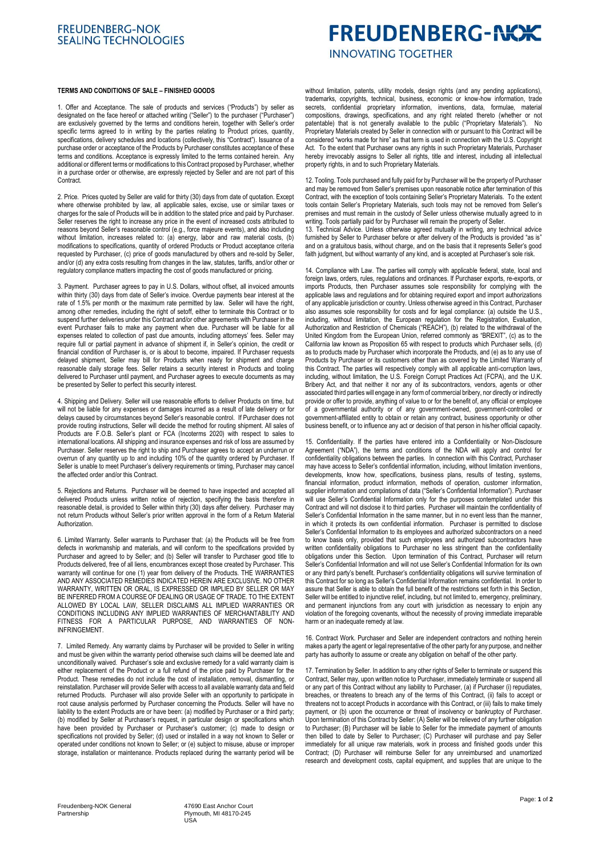### **FREUDENBERG-NOK SEALING TECHNOLOGIES**

# **FREUDENBERG-NOK**

**INNOVATING TOGETHER** 

#### **TERMS AND CONDITIONS OF SALE – FINISHED GOODS**

1. Offer and Acceptance. The sale of products and services ("Products") by seller as designated on the face hereof or attached writing ("Seller") to the purchaser ("Purchaser") are exclusively governed by the terms and conditions herein, together with Seller's order specific terms agreed to in writing by the parties relating to Product prices, quantity, specifications, delivery schedules and locations (collectively, this "Contract"). Issuance of a purchase order or acceptance of the Products by Purchaser constitutes acceptance of these terms and conditions. Acceptance is expressly limited to the terms contained herein. Any additional or different terms or modifications to this Contract proposed by Purchaser, whether in a purchase order or otherwise, are expressly rejected by Seller and are not part of this **Contract** 

2. Price. Prices quoted by Seller are valid for thirty (30) days from date of quotation. Except where otherwise prohibited by law, all applicable sales, excise, use or similar taxes or charges for the sale of Products will be in addition to the stated price and paid by Purchaser. Seller reserves the right to increase any price in the event of increased costs attributed to reasons beyond Seller's reasonable control (e.g., force majeure events), and also including without limitation, increases related to: (a) energy, labor and raw material costs, (b) modifications to specifications, quantity of ordered Products or Product acceptance criteria requested by Purchaser, (c) price of goods manufactured by others and re-sold by Seller, and/or (d) any extra costs resulting from changes in the law, statutes, tariffs, and/or other or regulatory compliance matters impacting the cost of goods manufactured or pricing.

3. Payment. Purchaser agrees to pay in U.S. Dollars, without offset, all invoiced amounts within thirty (30) days from date of Seller's invoice. Overdue payments bear interest at the rate of 1.5% per month or the maximum rate permitted by law. Seller will have the right, among other remedies, including the right of setoff, either to terminate this Contract or to suspend further deliveries under this Contract and/or other agreements with Purchaser in the event Purchaser fails to make any payment when due. Purchaser will be liable for all expenses related to collection of past due amounts, including attorneys' fees. Seller may require full or partial payment in advance of shipment if, in Seller's opinion, the credit or financial condition of Purchaser is, or is about to become, impaired. If Purchaser requests delayed shipment, Seller may bill for Products when ready for shipment and charge reasonable daily storage fees. Seller retains a security interest in Products and tooling delivered to Purchaser until payment, and Purchaser agrees to execute documents as may be presented by Seller to perfect this security interest.

4. Shipping and Delivery. Seller will use reasonable efforts to deliver Products on time, but will not be liable for any expenses or damages incurred as a result of late delivery or for delays caused by circumstances beyond Seller's reasonable control. If Purchaser does not provide routing instructions, Seller will decide the method for routing shipment. All sales of Products are F.O.B. Seller's plant or FCA (Incoterms 2020) with respect to sales to international locations. All shipping and insurance expenses and risk of loss are assumed by Purchaser. Seller reserves the right to ship and Purchaser agrees to accept an underrun or overrun of any quantity up to and including 10% of the quantity ordered by Purchaser. If Seller is unable to meet Purchaser's delivery requirements or timing, Purchaser may cancel the affected order and/or this Contract.

5. Rejections and Returns. Purchaser will be deemed to have inspected and accepted all delivered Products unless written notice of rejection, specifying the basis therefore in reasonable detail, is provided to Seller within thirty (30) days after delivery. Purchaser may not return Products without Seller's prior written approval in the form of a Return Material Authorization.

6. Limited Warranty. Seller warrants to Purchaser that: (a) the Products will be free from defects in workmanship and materials, and will conform to the specifications provided by Purchaser and agreed to by Seller; and (b) Seller will transfer to Purchaser good title to Products delivered, free of all liens, encumbrances except those created by Purchaser. This warranty will continue for one (1) year from delivery of the Products. THE WARRANTIES AND ANY ASSOCIATED REMEDIES INDICATED HEREIN ARE EXCLUSIVE. NO OTHER WARRANTY, WRITTEN OR ORAL, IS EXPRESSED OR IMPLIED BY SELLER OR MAY BE INFERRED FROM A COURSE OF DEALING OR USAGE OF TRADE. TO THE EXTENT ALLOWED BY LOCAL LAW, SELLER DISCLAIMS ALL IMPLIED WARRANTIES OR CONDITIONS INCLUDING ANY IMPLIED WARRANTIES OF MERCHANTABILITY AND FITNESS FOR A PARTICULAR PURPOSE, AND WARRANTIES OF NON-INFRINGEMENT.

7. Limited Remedy. Any warranty claims by Purchaser will be provided to Seller in writing and must be given within the warranty period otherwise such claims will be deemed late and unconditionally waived. Purchaser's sole and exclusive remedy for a valid warranty claim is either replacement of the Product or a full refund of the price paid by Purchaser for the Product. These remedies do not include the cost of installation, removal, dismantling, or reinstallation. Purchaser will provide Seller with access to all available warranty data and field returned Products. Purchaser will also provide Seller with an opportunity to participate in root cause analysis performed by Purchaser concerning the Products. Seller will have no liability to the extent Products are or have been: (a) modified by Purchaser or a third party; (b) modified by Seller at Purchaser's request, in particular design or specifications which have been provided by Purchaser or Purchaser's customer; (c) made to design or specifications not provided by Seller; (d) used or installed in a way not known to Seller or operated under conditions not known to Seller; or (e) subject to misuse, abuse or improper storage, installation or maintenance. Products replaced during the warranty period will be

without limitation, patents, utility models, design rights (and any pending applications), trademarks, copyrights, technical, business, economic or know-how information, trade secrets, confidential proprietary information, inventions, data, formulae, material compositions, drawings, specifications, and any right related thereto (whether or not patentable) that is not generally available to the public ("Proprietary Materials"). No Proprietary Materials created by Seller in connection with or pursuant to this Contract will be considered "works made for hire" as that term is used in connection with the U.S. Copyright Act. To the extent that Purchaser owns any rights in such Proprietary Materials, Purchaser hereby irrevocably assigns to Seller all rights, title and interest, including all intellectual property rights, in and to such Proprietary Materials.

12. Tooling. Tools purchased and fully paid for by Purchaser will be the property of Purchaser and may be removed from Seller's premises upon reasonable notice after termination of this Contract, with the exception of tools containing Seller's Proprietary Materials. To the extent tools contain Seller's Proprietary Materials, such tools may not be removed from Seller's premises and must remain in the custody of Seller unless otherwise mutually agreed to in writing. Tools partially paid for by Purchaser will remain the property of Seller.

13. Technical Advice. Unless otherwise agreed mutually in writing, any technical advice furnished by Seller to Purchaser before or after delivery of the Products is provided "as is" and on a gratuitous basis, without charge, and on the basis that it represents Seller's good faith judgment, but without warranty of any kind, and is accepted at Purchaser's sole risk.

14. Compliance with Law. The parties will comply with applicable federal, state, local and foreign laws, orders, rules, regulations and ordinances. If Purchaser exports, re-exports, or imports Products, then Purchaser assumes sole responsibility for complying with the applicable laws and regulations and for obtaining required export and import authorizations of any applicable jurisdiction or country. Unless otherwise agreed in this Contract, Purchaser also assumes sole responsibility for costs and for legal compliance: (a) outside the U.S., including, without limitation, the European regulation for the Registration, Evaluation, Authorization and Restriction of Chemicals ("REACH"), (b) related to the withdrawal of the United Kingdom from the European Union, referred commonly as "BREXIT", (c) as to the California law known as Proposition 65 with respect to products which Purchaser sells, (d) as to products made by Purchaser which incorporate the Products, and (e) as to any use of Products by Purchaser or its customers other than as covered by the Limited Warranty of this Contract. The parties will respectively comply with all applicable anti-corruption laws, including, without limitation, the U.S. Foreign Corrupt Practices Act (FCPA), and the U.K. Bribery Act, and that neither it nor any of its subcontractors, vendors, agents or other associated third parties will engage in any form of commercial bribery, nor directly or indirectly provide or offer to provide, anything of value to or for the benefit of, any official or employee of a governmental authority or of any government-owned, government-controlled or government-affiliated entity to obtain or retain any contract, business opportunity or other business benefit, or to influence any act or decision of that person in his/her official capacity.

15. Confidentiality. If the parties have entered into a Confidentiality or Non-Disclosure Agreement ("NDA"), the terms and conditions of the NDA will apply and control for confidentiality obligations between the parties. In connection with this Contract, Purchaser may have access to Seller's confidential information, including, without limitation inventions, developments, know how, specifications, business plans, results of testing, systems, financial information, product information, methods of operation, customer information, supplier information and compilations of data ("Seller's Confidential Information"). Purchaser will use Seller's Confidential Information only for the purposes contemplated under this Contract and will not disclose it to third parties. Purchaser will maintain the confidentiality of Seller's Confidential Information in the same manner, but in no event less than the manner, in which it protects its own confidential information. Purchaser is permitted to disclose Seller's Confidential Information to its employees and authorized subcontractors on a need to know basis only, provided that such employees and authorized subcontractors have written confidentiality obligations to Purchaser no less stringent than the confidentiality obligations under this Section. Upon termination of this Contract, Purchaser will return Seller's Confidential Information and will not use Seller's Confidential Information for its own or any third party's benefit. Purchaser's confidentiality obligations will survive termination of this Contract for so long as Seller's Confidential Information remains confidential. In order to assure that Seller is able to obtain the full benefit of the restrictions set forth in this Section, Seller will be entitled to injunctive relief, including, but not limited to, emergency, preliminary, and permanent injunctions from any court with jurisdiction as necessary to enjoin any violation of the foregoing covenants, without the necessity of proving immediate irreparable harm or an inadequate remedy at law.

16. Contract Work. Purchaser and Seller are independent contractors and nothing herein makes a party the agent or legal representative of the other party for any purpose, and neither party has authority to assume or create any obligation on behalf of the other party.

17. Termination by Seller. In addition to any other rights of Seller to terminate or suspend this Contract, Seller may, upon written notice to Purchaser, immediately terminate or suspend all or any part of this Contract without any liability to Purchaser, (a) if Purchaser (i) repudiates, breaches, or threatens to breach any of the terms of this Contract, (ii) fails to accept or threatens not to accept Products in accordance with this Contract, or (iii) fails to make timely payment, or (b) upon the occurrence or threat of insolvency or bankruptcy of Purchaser Upon termination of this Contract by Seller: (A) Seller will be relieved of any further obligation to Purchaser; (B) Purchaser will be liable to Seller for the immediate payment of amounts then billed to date by Seller to Purchaser; (C) Purchaser will purchase and pay Seller immediately for all unique raw materials, work in process and finished goods under this Contract; (D) Purchaser will reimburse Seller for any unreimbursed and unamortized research and development costs, capital equipment, and supplies that are unique to the